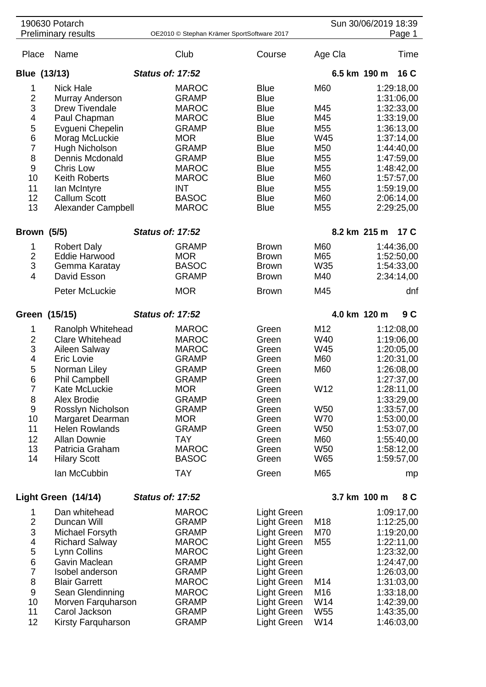|                                                                       | 190630 Potarch<br><b>Preliminary results</b> | OE2010 © Stephan Krämer SportSoftware 2017 |              |  | Sun 30/06/2019 18:39<br>Page 1 |                 |                   |            |  |  |  |
|-----------------------------------------------------------------------|----------------------------------------------|--------------------------------------------|--------------|--|--------------------------------|-----------------|-------------------|------------|--|--|--|
|                                                                       |                                              |                                            |              |  |                                |                 |                   |            |  |  |  |
| Place                                                                 | Name                                         |                                            | Club         |  | Course                         | Age Cla         |                   | Time       |  |  |  |
| Blue (13/13)                                                          |                                              | <b>Status of: 17:52</b>                    |              |  |                                | 6.5 km 190 m    |                   | 16 C       |  |  |  |
| 1                                                                     | <b>Nick Hale</b>                             |                                            | <b>MAROC</b> |  | <b>Blue</b>                    | M60             |                   | 1:29:18,00 |  |  |  |
| $\overline{2}$                                                        | Murray Anderson                              |                                            | <b>GRAMP</b> |  | <b>Blue</b>                    |                 |                   | 1:31:06,00 |  |  |  |
| 3                                                                     | <b>Drew Tivendale</b>                        |                                            | <b>MAROC</b> |  | <b>Blue</b>                    | M45             |                   | 1:32:33,00 |  |  |  |
| 4                                                                     | Paul Chapman                                 |                                            | <b>MAROC</b> |  | <b>Blue</b>                    | M45             |                   | 1:33:19,00 |  |  |  |
| 5                                                                     | Evgueni Chepelin                             |                                            | <b>GRAMP</b> |  | <b>Blue</b>                    | M55             |                   | 1:36:13,00 |  |  |  |
| 6                                                                     | Morag McLuckie                               |                                            | <b>MOR</b>   |  | <b>Blue</b>                    | W45             |                   | 1:37:14,00 |  |  |  |
| $\overline{7}$                                                        | Hugh Nicholson                               |                                            | <b>GRAMP</b> |  | <b>Blue</b>                    | M50             |                   | 1:44:40,00 |  |  |  |
| 8                                                                     | Dennis Mcdonald                              |                                            | <b>GRAMP</b> |  | <b>Blue</b>                    | M <sub>55</sub> |                   | 1:47:59,00 |  |  |  |
| $\boldsymbol{9}$                                                      | Chris Low                                    |                                            | <b>MAROC</b> |  | <b>Blue</b>                    | M <sub>55</sub> |                   | 1:48:42,00 |  |  |  |
| 10                                                                    | <b>Keith Roberts</b>                         |                                            | <b>MAROC</b> |  | <b>Blue</b>                    | M60             |                   | 1:57:57,00 |  |  |  |
| 11                                                                    | lan McIntyre                                 |                                            | <b>INT</b>   |  | <b>Blue</b>                    | M <sub>55</sub> |                   | 1:59:19,00 |  |  |  |
| 12                                                                    | <b>Callum Scott</b>                          |                                            | <b>BASOC</b> |  | <b>Blue</b>                    | M60             |                   | 2:06:14,00 |  |  |  |
| 13                                                                    | Alexander Campbell                           |                                            | <b>MAROC</b> |  | <b>Blue</b>                    | M <sub>55</sub> |                   | 2:29:25,00 |  |  |  |
|                                                                       |                                              |                                            |              |  |                                |                 |                   |            |  |  |  |
| <b>Brown (5/5)</b>                                                    |                                              | <b>Status of: 17:52</b>                    |              |  |                                |                 | 8.2 km 215 m 17 C |            |  |  |  |
| 1                                                                     | <b>Robert Daly</b>                           |                                            | <b>GRAMP</b> |  | <b>Brown</b>                   | M60             |                   | 1:44:36,00 |  |  |  |
| $\overline{2}$                                                        | <b>Eddie Harwood</b>                         |                                            | <b>MOR</b>   |  | <b>Brown</b>                   | M65             |                   | 1:52:50,00 |  |  |  |
| 3                                                                     | Gemma Karatay                                |                                            | <b>BASOC</b> |  | <b>Brown</b>                   | W35             |                   | 1:54:33,00 |  |  |  |
| $\overline{4}$                                                        | David Esson                                  |                                            | <b>GRAMP</b> |  | <b>Brown</b>                   | M40             |                   | 2:34:14,00 |  |  |  |
|                                                                       | Peter McLuckie                               |                                            | <b>MOR</b>   |  | <b>Brown</b>                   | M45             |                   | dnf        |  |  |  |
| Green (15/15)                                                         |                                              | <b>Status of: 17:52</b>                    |              |  |                                | 4.0 km 120 m    |                   | 9 C        |  |  |  |
| 1                                                                     | Ranolph Whitehead                            |                                            | <b>MAROC</b> |  | Green                          | M12             |                   | 1:12:08,00 |  |  |  |
| $\overline{2}$                                                        | <b>Clare Whitehead</b>                       |                                            | <b>MAROC</b> |  | Green                          | W40             |                   | 1:19:06,00 |  |  |  |
| 3                                                                     | Aileen Salway                                |                                            | <b>MAROC</b> |  | Green                          | W45             |                   | 1:20:05,00 |  |  |  |
| 4                                                                     | Eric Lovie                                   |                                            | <b>GRAMP</b> |  | Green                          | M60             |                   | 1:20:31,00 |  |  |  |
| 5                                                                     | Norman Liley                                 |                                            | <b>GRAMP</b> |  | Green                          | M60             |                   | 1:26:08,00 |  |  |  |
| 6                                                                     | <b>Phil Campbell</b>                         |                                            | <b>GRAMP</b> |  | Green                          |                 |                   | 1:27:37,00 |  |  |  |
| $\overline{7}$                                                        | Kate McLuckie                                |                                            | <b>MOR</b>   |  | Green                          | W12             |                   | 1:28:11,00 |  |  |  |
| 8                                                                     | Alex Brodie                                  |                                            | <b>GRAMP</b> |  | Green                          |                 |                   | 1:33:29,00 |  |  |  |
| $\boldsymbol{9}$                                                      | Rosslyn Nicholson                            |                                            | <b>GRAMP</b> |  | Green                          | <b>W50</b>      |                   | 1:33:57,00 |  |  |  |
| 10                                                                    | Margaret Dearman                             |                                            | <b>MOR</b>   |  | Green                          | <b>W70</b>      |                   | 1:53:00,00 |  |  |  |
| 11                                                                    | <b>Helen Rowlands</b>                        |                                            | <b>GRAMP</b> |  | Green                          | W50             |                   | 1:53:07,00 |  |  |  |
| 12                                                                    | <b>Allan Downie</b>                          |                                            | TAY          |  | Green                          | M60             |                   | 1:55:40,00 |  |  |  |
| 13                                                                    | Patricia Graham                              |                                            | <b>MAROC</b> |  | Green                          | <b>W50</b>      |                   | 1:58:12,00 |  |  |  |
| 14                                                                    | <b>Hilary Scott</b>                          |                                            | <b>BASOC</b> |  | Green                          | W65             |                   | 1:59:57,00 |  |  |  |
|                                                                       | lan McCubbin                                 |                                            | <b>TAY</b>   |  | Green                          | M65             |                   | mp         |  |  |  |
| 3.7 km 100 m<br>Light Green (14/14)<br><b>Status of: 17:52</b><br>8 C |                                              |                                            |              |  |                                |                 |                   |            |  |  |  |
|                                                                       |                                              |                                            |              |  |                                |                 |                   |            |  |  |  |
| 1                                                                     | Dan whitehead                                |                                            | <b>MAROC</b> |  | <b>Light Green</b>             |                 |                   | 1:09:17,00 |  |  |  |
| $\overline{2}$                                                        | Duncan Will                                  |                                            | <b>GRAMP</b> |  | <b>Light Green</b>             | M18             |                   | 1:12:25,00 |  |  |  |
| 3                                                                     | Michael Forsyth                              |                                            | <b>GRAMP</b> |  | Light Green                    | M70             |                   | 1:19:20,00 |  |  |  |
| 4                                                                     | <b>Richard Salway</b>                        |                                            | <b>MAROC</b> |  | <b>Light Green</b>             | M <sub>55</sub> |                   | 1:22:11,00 |  |  |  |
| 5                                                                     | Lynn Collins                                 |                                            | <b>MAROC</b> |  | Light Green                    |                 |                   | 1:23:32,00 |  |  |  |
| 6                                                                     | Gavin Maclean                                |                                            | <b>GRAMP</b> |  | <b>Light Green</b>             |                 |                   | 1:24:47,00 |  |  |  |
| $\overline{7}$                                                        | Isobel anderson                              |                                            | <b>GRAMP</b> |  | Light Green                    |                 |                   | 1:26:03,00 |  |  |  |
| 8                                                                     | <b>Blair Garrett</b>                         |                                            | <b>MAROC</b> |  | Light Green                    | M14             |                   | 1:31:03,00 |  |  |  |
| 9                                                                     | Sean Glendinning                             |                                            | <b>MAROC</b> |  | <b>Light Green</b>             | M16             |                   | 1:33:18,00 |  |  |  |
| 10                                                                    | Morven Farquharson                           |                                            | <b>GRAMP</b> |  | Light Green                    | W14             |                   | 1:42:39,00 |  |  |  |
| 11                                                                    | Carol Jackson                                |                                            | <b>GRAMP</b> |  | Light Green                    | W55             |                   | 1:43:35,00 |  |  |  |
| 12                                                                    | Kirsty Farquharson                           |                                            | <b>GRAMP</b> |  | <b>Light Green</b>             | W14             |                   | 1:46:03,00 |  |  |  |